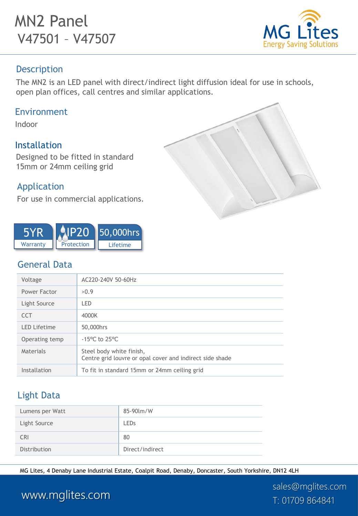# MN2 Panel V47501 – V47507



### Description

The MN2 is an LED panel with direct/indirect light diffusion ideal for use in schools, open plan offices, call centres and similar applications.

#### Environment

Indoor

### Installation

Designed to be fitted in standard 15mm or 24mm ceiling grid

### Application

For use in commercial applications.





### General Data

| Voltage             | AC220-240V 50-60Hz                                                                   |
|---------------------|--------------------------------------------------------------------------------------|
| Power Factor        | >0.9                                                                                 |
| Light Source        | LED                                                                                  |
| <b>CCT</b>          | 4000K                                                                                |
| <b>LED Lifetime</b> | 50,000hrs                                                                            |
| Operating temp      | $-15^{\circ}$ C to 25 $^{\circ}$ C                                                   |
| Materials           | Steel body white finish,<br>Centre grid louvre or opal cover and indirect side shade |
| Installation        | To fit in standard 15mm or 24mm ceiling grid                                         |
|                     |                                                                                      |

### Light Data

| Lumens per Watt | 85-90 lm/W      |
|-----------------|-----------------|
| Light Source    | <b>LEDs</b>     |
| <b>CRI</b>      | 80              |
| Distribution    | Direct/indirect |

MG Lites, 4 Denaby Lane Industrial Estate, Coalpit Road, Denaby, Doncaster, South Yorkshire, DN12 4LH

sales@mglites.com

## www.mglites.com T: 01709 864841